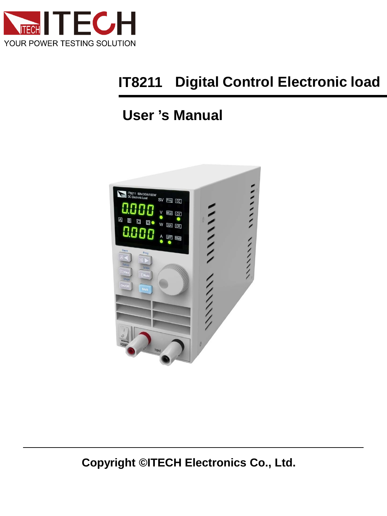

#### **Digital Control Electronic load IT8211**

# **User 's Manual**



**Copyright ©ITECH Electronics Co., Ltd.**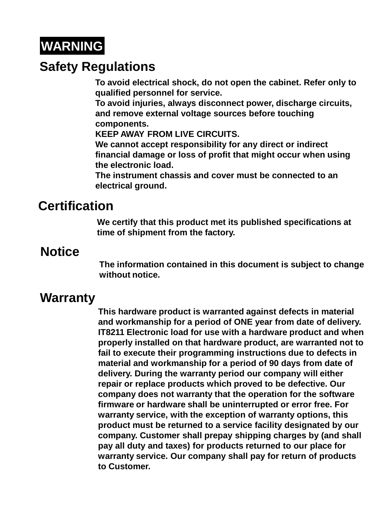# **WARNING**

## **Safety Regulations**

**To avoid electrical shock, do not open the cabinet. Refer only to qualified personnel for service.**

**To avoid injuries, always disconnect power, discharge circuits, and remove external voltage sources before touching components.** 

**KEEP AWAY FROM LIVE CIRCUITS.**

**We cannot accept responsibility for any direct or indirect financial damage or loss of profit that might occur when using the electronic load.**

**The instrument chassis and cover must be connected to an electrical ground.**

## **Certification**

**We certify that this product met its published specifications at time of shipment from the factory.**

## **Notice**

**The information contained in this document is subject to change without notice.**

## **Warranty**

**This hardware product is warranted against defects in material and workmanship for a period of ONE year from date of delivery. IT8211 Electronic load for use with a hardware product and when properly installed on that hardware product, are warranted not to fail to execute their programming instructions due to defects in material and workmanship for a period of 90 days from date of delivery. During the warranty period our company will either repair or replace products which proved to be defective. Our company does not warranty that the operation for the software firmware or hardware shall be uninterrupted or error free. For warranty service, with the exception of warranty options, this product must be returned to a service facility designated by our company. Customer shall prepay shipping charges by (and shall pay all duty and taxes) for products returned to our place for warranty service. Our company shall pay for return of products to Customer.**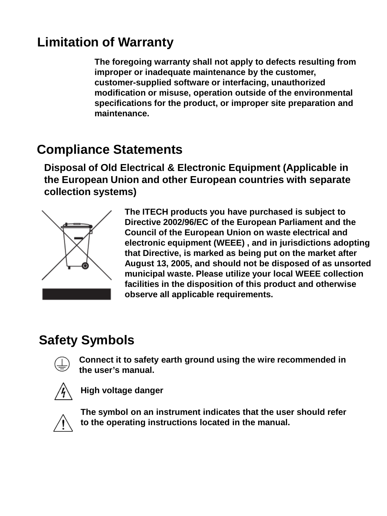# **Limitation of Warranty**

**The foregoing warranty shall not apply to defects resulting from improper or inadequate maintenance by the customer, customer-supplied software or interfacing, unauthorized modification or misuse, operation outside of the environmental specifications for the product, or improper site preparation and maintenance.**

## **Compliance Statements**

**Disposal of Old Electrical & Electronic Equipment (Applicable in the European Union and other European countries with separate collection systems)**



**The ITECH products you have purchased is subject to Directive 2002/96/EC of the European Parliament and the Council of the European Union on waste electrical and electronic equipment (WEEE) , and in jurisdictions adopting that Directive, is marked as being put on the market after August 13, 2005, and should not be disposed of as unsorted municipal waste. Please utilize your local WEEE collection facilities in the disposition of this product and otherwise observe all applicable requirements.** 

# **Safety Symbols**



**Connect it to safety earth ground using the wire recommended in the user's manual.**



**High voltage danger**



**The symbol on an instrument indicates that the user should refer to the operating instructions located in the manual.**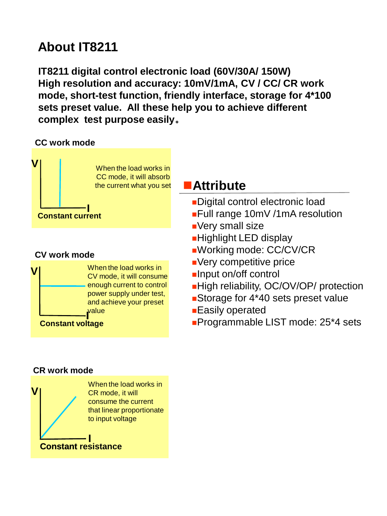# **About IT8211**

**IT8211 digital control electronic load (60V/30A/ 150W) High resolution and accuracy: 10mV/1mA, CV / CC/ CR work mode, short-test function, friendly interface, storage for 4\*100 sets preset value. All these help you to achieve different complex test purpose easily**。

#### **CC work mode**



#### **CV work mode**



### **Attribute**

- Digital control electronic load
- Full range 10mV /1mA resolution
- **Nery small size**
- **Highlight LED display**
- Working mode: CC/CV/CR
- Very competitive price
- **Input on/off control**
- ■High reliability, OC/OV/OP/ protection
- ■Storage for 4\*40 sets preset value
- Easily operated
- **Programmable LIST mode: 25\*4 sets**

#### **CR work mode**

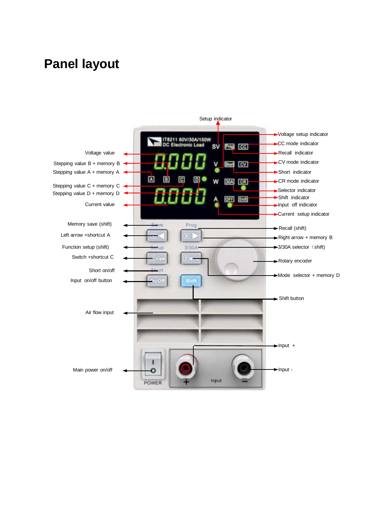## **Panel layout**

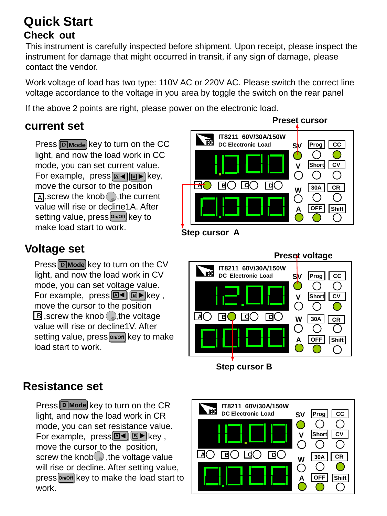## **Quick Start Check out**

This instrument is carefully inspected before shipment. Upon receipt, please inspect the instrument for damage that might occurred in transit, if any sign of damage, please contact the vendor.

Work voltage of load has two type: 110V AC or 220V AC. Please switch the correct line voltage accordance to the voltage in you area by toggle the switch on the rear panel

If the above 2 points are right, please power on the electronic load.

### **current set**

**Press D** Mode key to turn on the CC light, and now the load work in CC mode, you can set current value. **For example, press a** i **B**  $\blacktriangleright$  **B**  $\blacktriangleright$  **B**  $\blacktriangleright$  **B** move the cursor to the position  $\overline{A}$ , screw the knob o, the current value will rise or decline1A. After setting value, press **on/off** key to make load start to work.

### **Voltage set**

**Press <b>D** Mode key to turn on the CV light, and now the load work in CV mode, you can set voltage value. **For example, press <b>A B B B R B B** move the cursor to the position  $\boxplus$  ,screw the knob  $\oslash$ ,the voltage value will rise or decline1V. After setting value, press **on/off** key to make load start to work.



**Step cursor A**



**Step cursor B**

### **Resistance set**

**Press D** Mode key to turn on the CR light, and now the load work in CR mode, you can set resistance value. **For example, press**<sup>[A 12</sup>] **B** key, move the cursor to the position, screw the knob  $\circ$ , the voltage value will rise or decline. After setting value, press **on/off** key to make the load start to work.

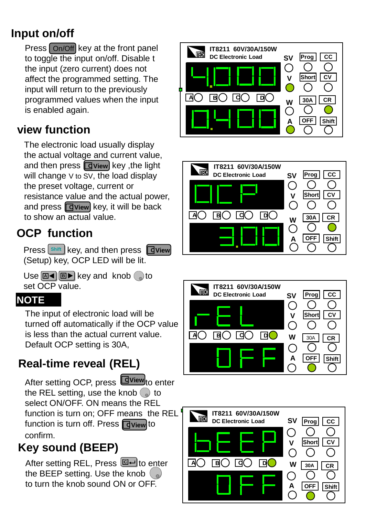## **Input on/off**

Press  $\lfloor$  On/Off key at the front panel to toggle the input on/off. Disable t the input (zero current) does not affect the programmed setting. The input will return to the previously programmed values when the input is enabled again.

### **view function**

The electronic load usually display the actual voltage and current value, and then press **<u>dview</u>** key ,the light will change V to SV, the load display the preset voltage, current or resistance value and the actual power, and press **d** view key, it will be back to show an actual value.

## **OCP function**

**Press Shift** key, and then press **C**View (Setup) key, OCP LED will be lit.

Use **E**<sup>I</sup> **B B** key and knob oto set OCP value.

### **NOTE**

The input of electronic load will be turned off automatically if the OCP value is less than the actual current value. Default OCP setting is 30A,

## **Real-time reveal (REL)**

After setting OCP, press Loview<sub>to enter</sub> the REL setting, use the knob  $\odot$  to select ON/OFF. ON means the REL function is turn on; OFF means the REL<sup>1</sup> function is turn off. Press *o***view** to confirm.

## **Key sound (BEEP)**

After setting REL, Press **l으**니to e<u>n</u>ter the BEEP setting. Use the knob  $\binom{1}{n}$ to turn the knob sound ON or OFF.







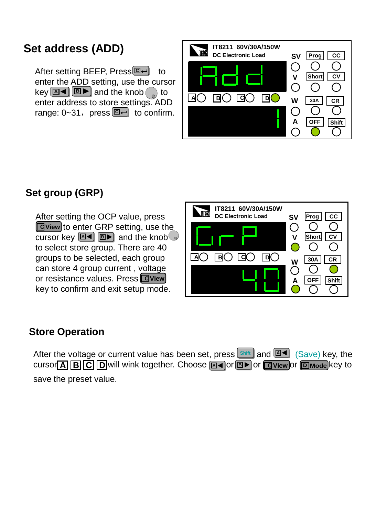### **Set address (ADD)**

After setting BEEP, Press**l回**ᅴ to enter the ADD setting, use the cursor  $\text{key}$  **B**  $\blacktriangleleft$  **B**  $\blacktriangleright$  and the knob $\binom{a}{b}$  to enter address to store settings. ADD range: 0~31, press **C**— to confirm.



### **Set group (GRP)**

After setting the OCP value, press **E** View to enter GRP setting, use the cursor key **<u>a</u>I** and the knob to select store group. There are 40 groups to be selected, each group can store 4 group current , voltage or resistance values. Press **C View** key to confirm and exit setup mode.



#### **Store Operation**

**After the voltage or current value has been set, press**  $\frac{\text{Shift}}{\text{shift}}$  **and**  $\frac{\text{M4}}{\text{dist}}$  **(Save) key, the**  $\overline{A}$  **B**  $\overline{C}$  D will wink together. Choose **<u>⊠</u> a** or **B >** or  $\overline{C}$  view or  $\overline{D}$  mode key to save the preset value.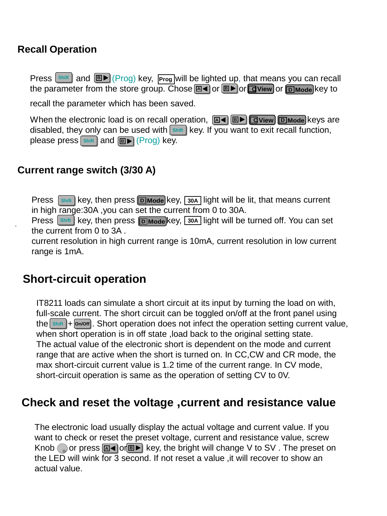#### **Recall Operation**

**Press**  $\frac{\text{Shift}}{\text{shift}}$  and  $\boxed{\text{B}}$  (Prog) key,  $\boxed{\text{Prog}}$  will be lighted up, that means you can recall the parameter from the store group. Chose <u>മ</u>േ $\bullet$  or @▶ or @View or @м‱ key to recall the parameter which has been saved.

When the electronic load is on recall operation, <u>ผ( В ) <mark>D</mark>View DMode</u> keys are disabled, they only can be used with shift key. If you want to exit recall function, please press shift and  $\boxed{\mathbf{B} \blacktriangleright}$  (Prog) key.

#### **Current range switch (3/30 A)**

**Press**  $\left[\text{Shift}\right]$  key, then press **D** Mode key,  $\left[\text{30A}\right]$  light will be lit, that means current in high range:30A ,you can set the current from 0 to 30A.

**Press**  $\left[\frac{\text{Shift}}{\text{Shift}}\right]$  key, then press  $\left[\text{DMode}\right]$  key,  $\left[\frac{30A}{100}$  light will be turned off. You can set the current from 0 to 3A .

current resolution in high current range is 10mA, current resolution in low current range is 1mA.

### **Short-circuit operation**

IT8211 loads can simulate a short circuit at its input by turning the load on with, full-scale current. The short circuit can be toggled on/off at the front panel using the **shift |+ on/off** Chort operation does not infect the operation setting current value, when short operation is in off state, load back to the original setting state. The actual value of the electronic short is dependent on the mode and current range that are active when the short is turned on. In CC,CW and CR mode, the max short-circuit current value is 1.2 time of the current range. In CV mode, short-circuit operation is same as the operation of setting CV to 0V.

#### **Check and reset the voltage ,current and resistance value**

The electronic load usually display the actual voltage and current value. If you want to check or reset the preset voltage, current and resistance value, screw Knob ( a) or press **a** i or **B**  $\blacktriangleright$  key, the bright will change V to SV. The preset on the LED will wink for 3 second. If not reset a value ,it will recover to show an actual value.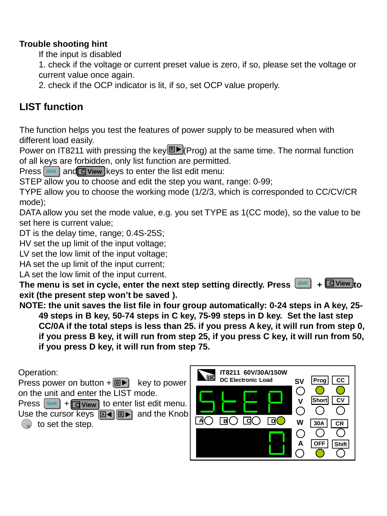#### **Trouble shooting hint**

If the input is disabled

1. check if the voltage or current preset value is zero, if so, please set the voltage or current value once again.

2. check if the OCP indicator is lit, if so, set OCP value properly.

#### **LIST function**

The function helps you test the features of power supply to be measured when with different load easily.

Power on IT8211 with pressing the key<sup>ne</sup> (Prog) at the same time. The normal function of all keys are forbidden, only list function are permitted.

**Press** shift and **C** view keys to enter the list edit menu:

STEP allow you to choose and edit the step you want, range: 0-99;

TYPE allow you to choose the working mode (1/2/3, which is corresponded to CC/CV/CR mode);

DATA allow you set the mode value, e.g. you set TYPE as 1(CC mode), so the value to be set here is current value;

DT is the delay time, range; 0.4S-25S;

HV set the up limit of the input voltage;

LV set the low limit of the input voltage;

HA set the up limit of the input current;

LA set the low limit of the input current.

The menu is set in cycle, enter the next step setting directly. Press strift **exit (the present step won't be saved ).**  $\overline{E}$  **View** to

**NOTE: the unit saves the list file in four group automatically: 0-24 steps in A key, 25- 49 steps in B key, 50-74 steps in C key, 75-99 steps in D key. Set the last step CC/0A if the total steps is less than 25. if you press A key, it will run from step 0, if you press B key, it will run from step 25, if you press C key, it will run from 50, if you press D key, it will run from step 75.**

Operation:

Press power on button + **BD** key to power on the unit and enter the LIST mode. **Press**  $\frac{\text{Shift}}{\text{ceil}}$  +  $\boxed{\text{C}}$  **View** to enter list edit menu.

Use the cursor keys  $[\text{A} \blacktriangleleft][\text{B} \blacktriangleright]$  and the Knob|  $\circ$  to set the step.

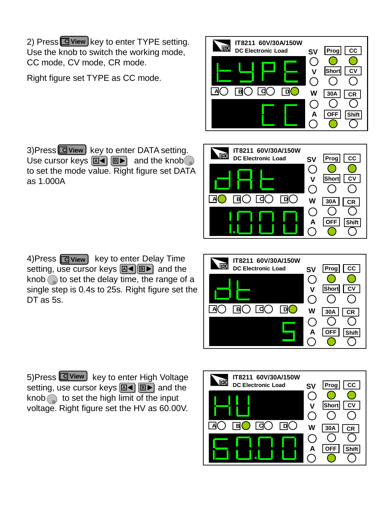2) Press **G** view key to enter TYPE setting. Use the knob to switch the working mode, CC mode, CV mode, CR mode.

Right figure set TYPE as CC mode.

3)Press **<u>C</u> view k**ey to enter DATA setting. Use cursor keys **A B B B** and the knob to set the mode value. Right figure set DATA as 1.000A

4)Press key to enter Delay Time **C View** setting, use cursor keys <u>[**A**◀</u> |B▶ and the knob  $\odot$  to set the delay time, the range of a single step is 0.4s to 25s. Right figure set the DT as 5s.

5)Press Lolview key to enter High Voltage

setting, use cursor keys <u>**⊠◀ ุ , , ,** and the</u> knob  $\odot$  to set the high limit of the input voltage. Right figure set the HV as 60.00V.



**AO BO GO GO** 

**SV SV**

**DC Electronic Load SV Prog CC** 

**ITECH**

**V**

**A**

◯

**W**

◯

**OFF Shift**

**30A CR**

◯

 $( )$ 

**Short CV**



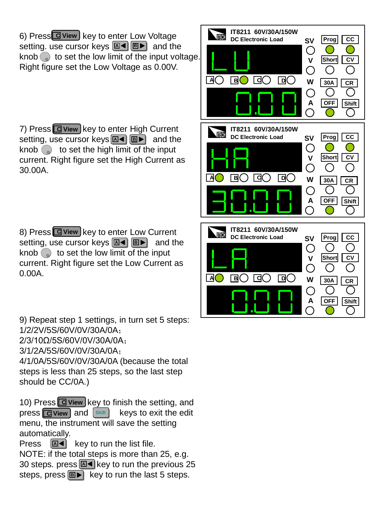6) Press**C Givew** key to enter Low Voltage setting. use cursor keys **<u>EI◀ </u>** B▶ and the knob  $\odot$  to set the low limit of the input voltage. Right figure set the Low Voltage as 0.00V.

7) Press **C** view key to enter High Current setting, use cursor keys **A B** B and the knob  $\odot$  to set the high limit of the input current. Right figure set the High Current as 30.00A.

8) Press **G** view key to enter Low Current setting, use cursor keys **<u>A</u>I B** BD and the knob  $\odot$  to set the low limit of the input current. Right figure set the Low Current as 0.00A.

9) Repeat step 1 settings, in turn set 5 steps: 1/2/2V/5S/60V/0V/30A/0A; 2/3/10Ω/5S/60V/0V/30A/0A; 3/1/2A/5S/60V/0V/30A/0A; 4/1/0A/5S/60V/0V/30A/0A (because the total steps is less than 25 steps, so the last step

should be CC/0A.)

10) Press **G** view key to finish the setting, and **press <b>C** view and  $\left[\frac{\text{Shift}}{\text{Shift}}\right]$  keys to exit the edit menu, the instrument will save the setting automatically.

Press  $|\mathbb{A} \cdot \mathbb{B}|$  key to run the list file. **A** 

NOTE: if the total steps is more than 25, e.g. 30 steps. press**l**⊠◀ key to run the previous 25 steps, press key to run the last 5 steps. **B**

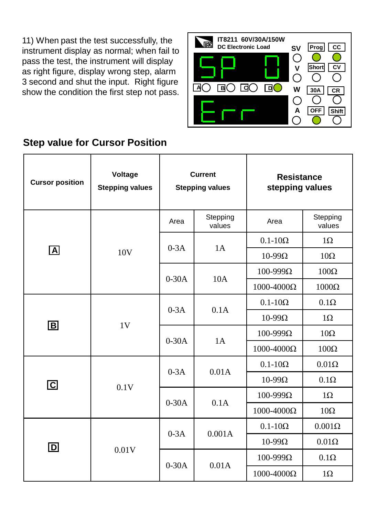11) When past the test successfully, the instrument display as normal; when fail to pass the test, the instrument will display as right figure, display wrong step, alarm 3 second and shut the input. Right figure show the condition the first step not pass.



#### **Step value for Cursor Position**

| <b>Cursor position</b>  | Voltage<br><b>Stepping values</b> | <b>Current</b><br><b>Stepping values</b> |                    | <b>Resistance</b><br>stepping values |                    |
|-------------------------|-----------------------------------|------------------------------------------|--------------------|--------------------------------------|--------------------|
| $\boxed{\mathsf{A}}$    | 10 <sub>V</sub>                   | Area                                     | Stepping<br>values | Area                                 | Stepping<br>values |
|                         |                                   | $0-3A$                                   | 1A                 | $0.1 - 10\Omega$                     | $1\Omega$          |
|                         |                                   |                                          |                    | $10-99\Omega$                        | $10\Omega$         |
|                         |                                   | $0-30A$                                  | 10A                | $100 - 999\Omega$                    | $100\Omega$        |
|                         |                                   |                                          |                    | $1000 - 4000\Omega$                  | $1000\Omega$       |
| $\boxed{\mathsf{B}}$    | 1 <sub>V</sub>                    | $0-3A$                                   | 0.1A               | $0.1 - 10\Omega$                     | $0.1\Omega$        |
|                         |                                   |                                          |                    | $10-99\Omega$                        | $1\Omega$          |
|                         |                                   | $0-30A$                                  | 1A                 | $100-999Ω$                           | $10\Omega$         |
|                         |                                   |                                          |                    | $1000 - 4000\Omega$                  | $100\Omega$        |
| $\overline{\mathbf{C}}$ | 0.1V                              | $0-3A$                                   | 0.01A              | $0.1 - 10\Omega$                     | $0.01\Omega$       |
|                         |                                   |                                          |                    | $10-99\Omega$                        | $0.1\Omega$        |
|                         |                                   | $0-30A$                                  | 0.1A               | $100 - 999\Omega$                    | $1\Omega$          |
|                         |                                   |                                          |                    | $1000 - 4000\Omega$                  | $10\Omega$         |
| $\boxed{\mathsf{D}}$    | 0.01V                             | $0-3A$                                   | 0.001A             | $0.1 - 10\Omega$                     | $0.001\Omega$      |
|                         |                                   |                                          |                    | $10-99\Omega$                        | $0.01\Omega$       |
|                         |                                   | $0-30A$                                  | 0.01A              | $100 - 999\Omega$                    | $0.1\Omega$        |
|                         |                                   |                                          |                    | $1000 - 4000\Omega$                  | $1\Omega$          |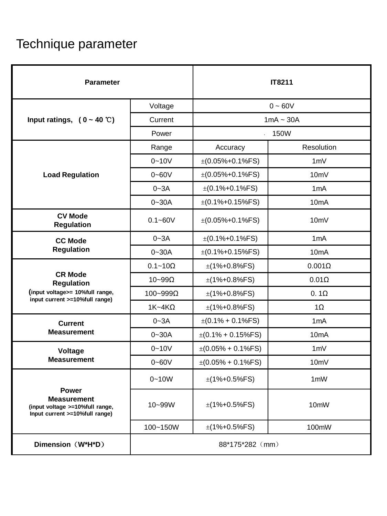# Technique parameter

| <b>Parameter</b>                                                                                        |                  | <b>IT8211</b>                |                   |  |
|---------------------------------------------------------------------------------------------------------|------------------|------------------------------|-------------------|--|
|                                                                                                         | Voltage          | $0 - 60V$                    |                   |  |
| Input ratings, $(0 - 40 \degree C)$                                                                     | Current          | $1mA \sim 30A$               |                   |  |
|                                                                                                         | Power            | 150W<br>$\ddot{\phantom{0}}$ |                   |  |
|                                                                                                         | Range            | Accuracy                     | Resolution        |  |
|                                                                                                         | $0 - 10V$        | $\pm (0.05\% + 0.1\%$ FS)    | 1mV               |  |
| <b>Load Regulation</b>                                                                                  | $0 - 60V$        | $\pm (0.05\% + 0.1\%$ FS)    | 10mV              |  |
|                                                                                                         | $0 - 3A$         | $\pm (0.1\% + 0.1\%$ FS)     | 1mA               |  |
|                                                                                                         | $0 - 30A$        | $\pm (0.1\% + 0.15\%$ FS)    | 10 <sub>m</sub> A |  |
| <b>CV Mode</b><br><b>Regulation</b>                                                                     | $0.1 - 60V$      | $\pm (0.05\% + 0.1\%$ FS)    | 10 <sub>m</sub> V |  |
| <b>CC Mode</b>                                                                                          | $0 - 3A$         | $\pm (0.1\% + 0.1\%$ FS)     | 1mA               |  |
| <b>Regulation</b>                                                                                       | $0 - 30A$        | $\pm (0.1\% + 0.15\%$ FS)    | 10 <sub>m</sub> A |  |
|                                                                                                         | $0.1 - 10\Omega$ | $\pm$ (1%+0.8%FS)            | $0.001\Omega$     |  |
| <b>CR Mode</b><br><b>Regulation</b>                                                                     | $10 - 99\Omega$  | $\pm$ (1%+0.8%FS)            | $0.01\Omega$      |  |
| (input voltage>= 10%full range,<br>input current >=10%full range)                                       | 100~999Ω         | $\pm$ (1%+0.8%FS)            | $0.1\Omega$       |  |
|                                                                                                         | $1K-4K\Omega$    | $\pm$ (1%+0.8%FS)            | $1\Omega$         |  |
| <b>Current</b>                                                                                          | $0 - 3A$         | $\pm (0.1\% + 0.1\%$ FS)     | 1mA               |  |
| <b>Measurement</b>                                                                                      | $0 - 30A$        | $\pm (0.1\% + 0.15\%$ FS)    | 10 <sub>m</sub> A |  |
| Voltage                                                                                                 | $0 - 10V$        | $\pm (0.05\% + 0.1\%$ FS)    | 1mV               |  |
| <b>Measurement</b>                                                                                      | $0 - 60V$        | $\pm (0.05\% + 0.1\%$ FS)    | 10mV              |  |
|                                                                                                         | $0 - 10W$        | $\pm$ (1%+0.5%FS)            | 1mW               |  |
| <b>Power</b><br><b>Measurement</b><br>(input voltage >=10%full range,<br>Input current >=10%full range) | 10~99W           | $\pm$ (1%+0.5%FS)            | 10mW              |  |
|                                                                                                         | 100~150W         | $\pm$ (1%+0.5%FS)            | 100mW             |  |
| Dimension (W*H*D)                                                                                       | 88*175*282 (mm)  |                              |                   |  |